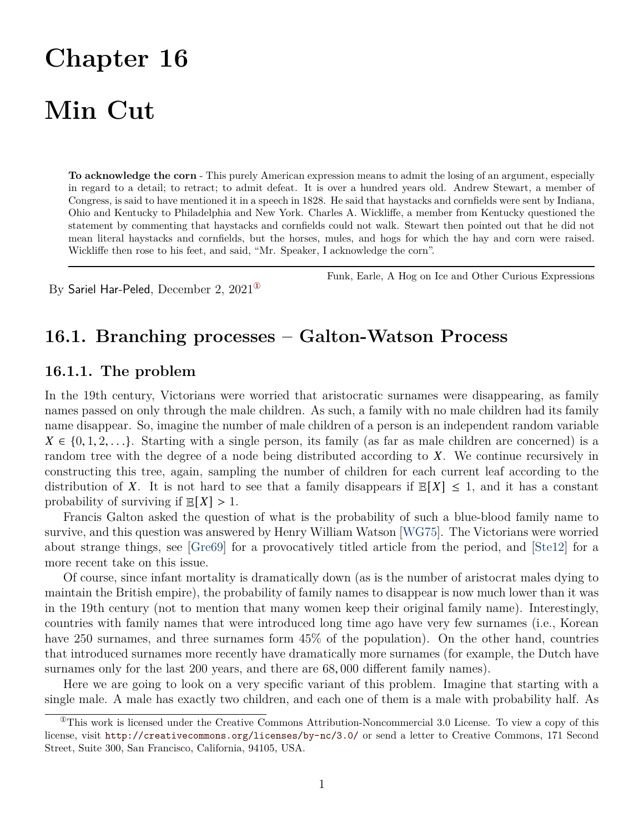# **Chapter 16**

# **Min Cut**

**To acknowledge the corn** - This purely American expression means to admit the losing of an argument, especially in regard to a detail; to retract; to admit defeat. It is over a hundred years old. Andrew Stewart, a member of Congress, is said to have mentioned it in a speech in 1828. He said that haystacks and cornfields were sent by Indiana, Ohio and Kentucky to Philadelphia and New York. Charles A. Wickliffe, a member from Kentucky questioned the statement by commenting that haystacks and cornfields could not walk. Stewart then pointed out that he did not mean literal haystacks and cornfields, but the horses, mules, and hogs for which the hay and corn were raised. Wickliffe then rose to his feet, and said, "Mr. Speaker, I acknowledge the corn".

By Sariel Har-Peled, December 2, 2021[①](#page-0-0)

Funk, Earle, A Hog on Ice and Other Curious Expressions

## **16.1. Branching processes – Galton-Watson Process**

## **16.1.1. The problem**

In the 19th century, Victorians were worried that aristocratic surnames were disappearing, as family names passed on only through the male children. As such, a family with no male children had its family name disappear. So, imagine the number of male children of a person is an independent random variable  $X \in \{0, 1, 2, \ldots\}$ . Starting with a single person, its family (as far as male children are concerned) is a random tree with the degree of a node being distributed according to  $X$ . We continue recursively in constructing this tree, again, sampling the number of children for each current leaf according to the distribution of X. It is not hard to see that a family disappears if  $\mathbb{E}[X] \leq 1$ , and it has a constant probability of surviving if  $\mathbb{E}[X] > 1$ .

Francis Galton asked the question of what is the probability of such a blue-blood family name to survive, and this question was answered by Henry William Watson [\[WG75\]](#page-8-0). The Victorians were worried about strange things, see [\[Gre69\]](#page-8-1) for a provocatively titled article from the period, and [\[Ste12\]](#page-8-2) for a more recent take on this issue.

Of course, since infant mortality is dramatically down (as is the number of aristocrat males dying to maintain the British empire), the probability of family names to disappear is now much lower than it was in the 19th century (not to mention that many women keep their original family name). Interestingly, countries with family names that were introduced long time ago have very few surnames (i.e., Korean have 250 surnames, and three surnames form  $45\%$  of the population). On the other hand, countries that introduced surnames more recently have dramatically more surnames (for example, the Dutch have surnames only for the last 200 years, and there are 68, 000 different family names).

Here we are going to look on a very specific variant of this problem. Imagine that starting with a single male. A male has exactly two children, and each one of them is a male with probability half. As

<span id="page-0-0"></span> $^{\circ}$ This work is licensed under the Creative Commons Attribution-Noncommercial 3.0 License. To view a copy of this license, visit <http://creativecommons.org/licenses/by-nc/3.0/> or send a letter to Creative Commons, 171 Second Street, Suite 300, San Francisco, California, 94105, USA.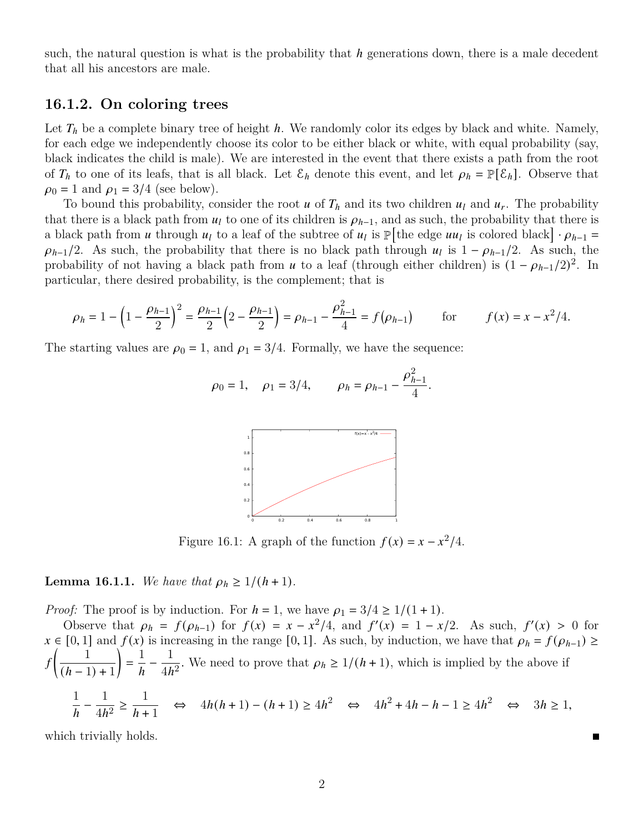<span id="page-1-1"></span>such, the natural question is what is the probability that  $h$  generations down, there is a male decedent that all his ancestors are male.

## **16.1.2. On coloring trees**

Let  $T_h$  be a complete binary tree of height h. We randomly color its edges by black and white. Namely, for each edge we independently choose its color to be either black or white, with equal probability (say, black indicates the child is male). We are interested in the event that there exists a path from the root of  $T_h$  to one of its leafs, that is all black. Let  $\mathcal{E}_h$  denote this event, and let  $\rho_h = \mathbb{P}[\mathcal{E}_h]$ . Observe that  $\rho_0 = 1$  and  $\rho_1 = 3/4$  (see below).

To bound this probability, consider the root  $u$  of  $T_h$  and its two children  $u_l$  and  $u_r$ . The probability that there is a black path from  $u_l$  to one of its children is  $\rho_{h-1}$ , and as such, the probability that there is a black path from *u* through  $u_l$  to a leaf of the subtree of  $u_l$  is  $\mathbb{P}$ [the edge  $uu_l$  is colored black]  $\cdot \rho_{h-1} =$  $\rho_{h-1}/2$ . As such, the probability that there is no black path through  $u_l$  is  $1 - \rho_{h-1}/2$ . As such, the probability of not having a black path from *u* to a leaf (through either children) is  $(1 - \rho_{h-1}/2)^2$ . In particular, there desired probability, is the complement; that is

$$
\rho_h = 1 - \left(1 - \frac{\rho_{h-1}}{2}\right)^2 = \frac{\rho_{h-1}}{2} \left(2 - \frac{\rho_{h-1}}{2}\right) = \rho_{h-1} - \frac{\rho_{h-1}^2}{4} = f(\rho_{h-1}) \quad \text{for} \quad f(x) = x - x^2/4.
$$

The starting values are  $\rho_0 = 1$ , and  $\rho_1 = 3/4$ . Formally, we have the sequence:



Figure 16.1: A graph of the function  $f(x) = x - x^2/4$ .

#### <span id="page-1-0"></span>**Lemma 16.1.1.** *We have that*  $\rho_h \geq 1/(h+1)$ *.*

*Proof:* The proof is by induction. For  $h = 1$ , we have  $\rho_1 = 3/4 \ge 1/(1 + 1)$ .

Observe that  $\rho_h = f(\rho_{h-1})$  for  $f(x) = x - x^2/4$ , and  $f'(x) = 1 - x/2$ . As such,  $f'(x) > 0$  for  $x \in [0, 1]$  and  $f(x)$  is increasing in the range [0, 1]. As such, by induction, we have that  $\rho_h = f(\rho_{h-1}) \ge$  $f\left(\frac{1}{\cdots}\right)$  $\frac{(h-1)+1}{h-1}$ Ι  $=\frac{1}{1}$  $\frac{1}{h} - \frac{1}{4h}$  $\frac{1}{4h^2}$ . We need to prove that  $\rho_h \geq 1/(h+1)$ , which is implied by the above if

$$
\frac{1}{h} - \frac{1}{4h^2} \ge \frac{1}{h+1} \quad \Leftrightarrow \quad 4h(h+1) - (h+1) \ge 4h^2 \quad \Leftrightarrow \quad 4h^2 + 4h - h - 1 \ge 4h^2 \quad \Leftrightarrow \quad 3h \ge 1,
$$

which trivially holds.

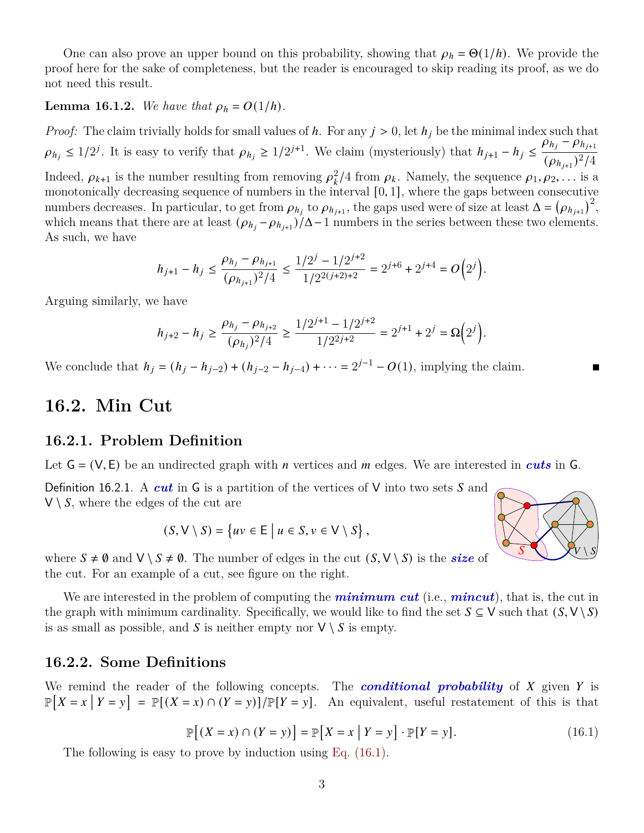One can also prove an upper bound on this probability, showing that  $\rho_h = \Theta(1/h)$ . We provide the proof here for the sake of completeness, but the reader is encouraged to skip reading its proof, as we do not need this result.

#### **Lemma 16.1.2.** *We have that*  $\rho_h = O(1/h)$ *.*

*Proof:* The claim trivially holds for small values of h. For any  $j > 0$ , let  $h_j$  be the minimal index such that  $\rho_{h_j} \leq 1/2^j$ . It is easy to verify that  $\rho_{h_j} \geq 1/2^{j+1}$ . We claim (mysteriously) that  $h_{j+1} - h_j \leq$  $\rho_{h_j} - \rho_{h_{j+1}}$  $\frac{(\rho_{h_{j+1}})^2}{4}$ Indeed,  $\rho_{k+1}$  is the number resulting from removing  $\rho_k^2/4$  from  $\rho_k$ . Namely, the sequence  $\rho_1, \rho_2, \ldots$  is a monotonically decreasing sequence of numbers in the interval [0, 1], where the gaps between consecutive numbers decreases. In particular, to get from  $\rho_{h_j}$  to  $\rho_{h_{j+1}}$ , the gaps used were of size at least  $\Delta = (\rho_{h_{j+1}})^2$ , which means that there are at least  $(\rho_{h_j} - \rho_{h_{j+1}})/\Delta - 1$  numbers in the series between these two elements. As such, we have

$$
h_{j+1}-h_j\leq \frac{\rho_{h_j}-\rho_{h_{j+1}}}{(\rho_{h_{j+1}})^2/4}\leq \frac{1/2^j-1/2^{j+2}}{1/2^{2(j+2)+2}}=2^{j+6}+2^{j+4}=O\Big(2^j\Big).
$$

Arguing similarly, we have

$$
h_{j+2}-h_j\geq \frac{\rho_{h_j}-\rho_{h_{j+2}}}{(\rho_{h_j})^2/4}\geq \frac{1/2^{j+1}-1/2^{j+2}}{1/2^{2j+2}}=2^{j+1}+2^j=\Omega\Big(2^j\Big).
$$

We conclude that  $h_j = (h_j - h_{j-2}) + (h_{j-2} - h_{j-4}) + \cdots = 2^{j-1} - O(1)$ , implying the claim.

## **16.2. Min Cut**

## **16.2.1. Problem Definition**

Let  $G = (V, E)$  be an undirected graph with *n* vertices and *m* edges. We are interested in *cuts* in G.

Definition 16.2.1. A *cut* in  $G$  is a partition of the vertices of V into two sets  $S$  and  $V \setminus S$ , where the edges of the cut are

$$
(S, \mathsf{V} \setminus S) = \{ uv \in \mathsf{E} \mid u \in S, v \in \mathsf{V} \setminus S \},
$$



where  $S \neq \emptyset$  and  $V \setminus S \neq \emptyset$ . The number of edges in the cut  $(S, V \setminus S)$  is the *size* of the cut. For an example of a cut, see figure on the right.

We are interested in the problem of computing the *minimum cut* (i.e., *mincut*), that is, the cut in the graph with minimum cardinality. Specifically, we would like to find the set  $S \subseteq V$  such that  $(S, V \setminus S)$ is as small as possible, and S is neither empty nor  $\vee \setminus S$  is empty.

#### **16.2.2. Some Definitions**

<span id="page-2-0"></span>We remind the reader of the following concepts. The *conditional probability* of X given Y is  $\mathbb{P}[X=x \mid Y=y] = \mathbb{P}[(X=x) \cap (Y=y)]/\mathbb{P}[Y=y]$ . An equivalent, useful restatement of this is that

$$
\mathbb{P}[(X = x) \cap (Y = y)] = \mathbb{P}[X = x | Y = y] \cdot \mathbb{P}[Y = y].
$$
\n(16.1)

The following is easy to prove by induction using Eq.  $(16.1)$ .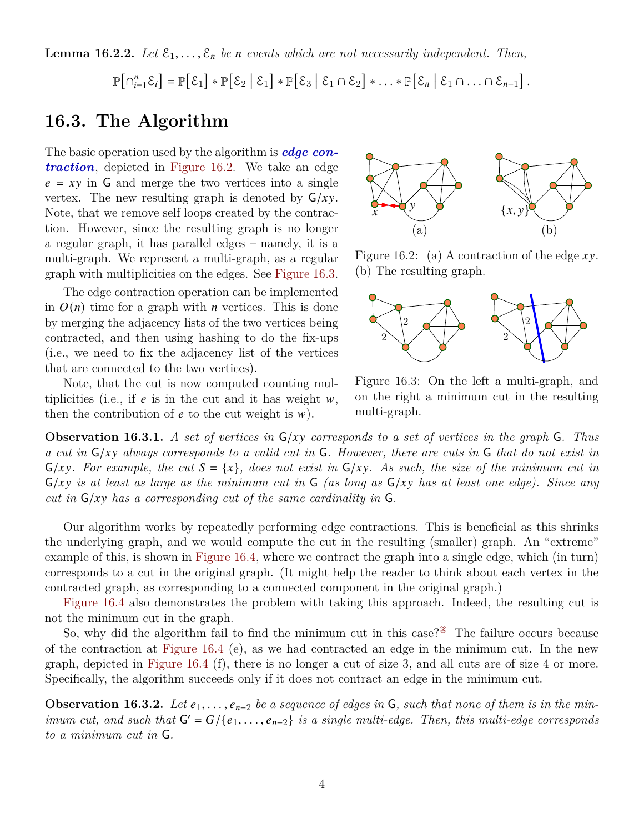**Lemma 16.2.2.** Let  $\mathcal{E}_1, \ldots, \mathcal{E}_n$  be *n* events which are not necessarily independent. Then,

 $\mathbb{P}[\bigcap_{i=1}^{n} \mathcal{E}_i] = \mathbb{P}[\mathcal{E}_1] * \mathbb{P}[\mathcal{E}_2 | \mathcal{E}_1] * \mathbb{P}[\mathcal{E}_3 | \mathcal{E}_1 \cap \mathcal{E}_2] * ... * \mathbb{P}[\mathcal{E}_n | \mathcal{E}_1 \cap ... \cap \mathcal{E}_{n-1}].$ 

## **16.3. The Algorithm**

The basic operation used by the algorithm is *edge contraction*, depicted in [Figure 16.2.](#page-3-0) We take an edge  $e = xy$  in G and merge the two vertices into a single vertex. The new resulting graph is denoted by  $G/xy$ . Note, that we remove self loops created by the contraction. However, since the resulting graph is no longer a regular graph, it has parallel edges – namely, it is a multi-graph. We represent a multi-graph, as a regular graph with multiplicities on the edges. See [Figure 16.3.](#page-3-1)

The edge contraction operation can be implemented in  $O(n)$  time for a graph with *n* vertices. This is done by merging the adjacency lists of the two vertices being contracted, and then using hashing to do the fix-ups (i.e., we need to fix the adjacency list of the vertices that are connected to the two vertices).

Note, that the cut is now computed counting multiplicities (i.e., if  $e$  is in the cut and it has weight  $w$ , then the contribution of  $e$  to the cut weight is  $w$ ).



<span id="page-3-0"></span>Figure 16.2: (a) A contraction of the edge  $xy$ . (b) The resulting graph.



<span id="page-3-1"></span>Figure 16.3: On the left a multi-graph, and on the right a minimum cut in the resulting multi-graph.

**Observation 16.3.1.** A set of vertices in  $G/xy$  corresponds to a set of vertices in the graph G. Thus *a cut in* G/ *always corresponds to a valid cut in* G*. However, there are cuts in* G *that do not exist in*  $G/xy$ . For example, the cut  $S = \{x\}$ , does not exist in  $G/xy$ . As such, the size of the minimum cut in G/xy is at least as large as the minimum cut in G (as long as G/xy has at least one edge). Since any *cut in*  $G/xy$  has a corresponding cut of the same cardinality in G.

Our algorithm works by repeatedly performing edge contractions. This is beneficial as this shrinks the underlying graph, and we would compute the cut in the resulting (smaller) graph. An "extreme" example of this, is shown in [Figure 16.4,](#page-4-0) where we contract the graph into a single edge, which (in turn) corresponds to a cut in the original graph. (It might help the reader to think about each vertex in the contracted graph, as corresponding to a connected component in the original graph.)

[Figure 16.4](#page-4-0) also demonstrates the problem with taking this approach. Indeed, the resulting cut is not the minimum cut in the graph.

So, why did the algorithm fail to find the minimum cut in this case?<sup>2</sup> The failure occurs because of the contraction at [Figure 16.4](#page-4-0) (e), as we had contracted an edge in the minimum cut. In the new graph, depicted in [Figure 16.4](#page-4-0) (f), there is no longer a cut of size 3, and all cuts are of size 4 or more. Specifically, the algorithm succeeds only if it does not contract an edge in the minimum cut.

<span id="page-3-2"></span>**Observation 16.3.2.** Let  $e_1, \ldots, e_{n-2}$  be a sequence of edges in  $\mathsf{G}$ , such that none of them is in the min*imum cut, and such that*  $G' = G/{e_1, ..., e_{n-2}}$  *is a single multi-edge. Then, this multi-edge corresponds to a minimum cut in* G*.*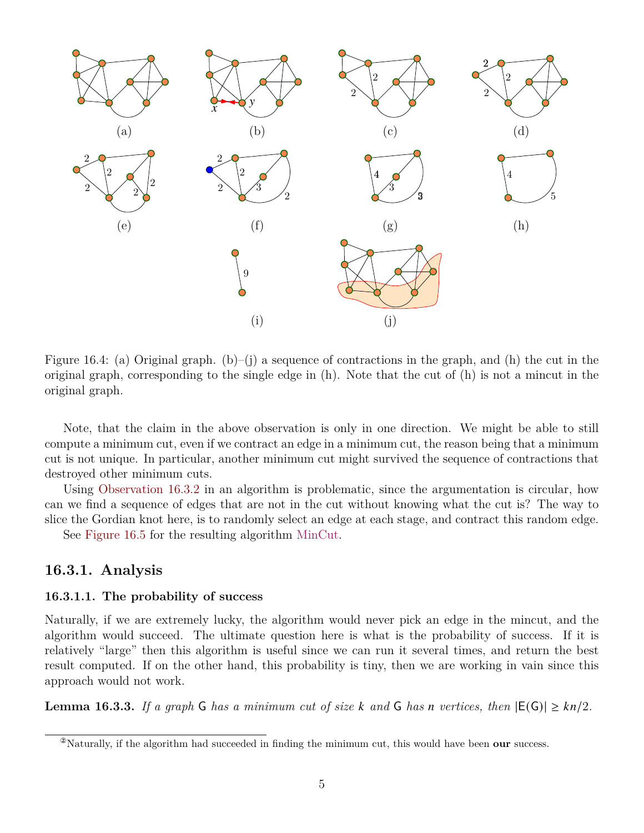<span id="page-4-0"></span>

Figure 16.4: (a) Original graph. (b)–(j) a sequence of contractions in the graph, and (h) the cut in the original graph, corresponding to the single edge in (h). Note that the cut of (h) is not a mincut in the original graph.

Note, that the claim in the above observation is only in one direction. We might be able to still compute a minimum cut, even if we contract an edge in a minimum cut, the reason being that a minimum cut is not unique. In particular, another minimum cut might survived the sequence of contractions that destroyed other minimum cuts.

Using [Observation 16.3.2](#page-3-2) in an algorithm is problematic, since the argumentation is circular, how can we find a sequence of edges that are not in the cut without knowing what the cut is? The way to slice the Gordian knot here, is to randomly select an edge at each stage, and contract this random edge.

See [Figure 16.5](#page-5-0) for the resulting algorithm MinCut.

### **16.3.1. Analysis**

#### **16.3.1.1. The probability of success**

Naturally, if we are extremely lucky, the algorithm would never pick an edge in the mincut, and the algorithm would succeed. The ultimate question here is what is the probability of success. If it is relatively "large" then this algorithm is useful since we can run it several times, and return the best result computed. If on the other hand, this probability is tiny, then we are working in vain since this approach would not work.

**Lemma 16.3.3.** *If a graph* G *has a minimum cut of size* k and G *has n vertices, then*  $|E(G)| \geq kn/2$ .

<span id="page-4-1"></span><sup>②</sup>Naturally, if the algorithm had succeeded in finding the minimum cut, this would have been **our** success.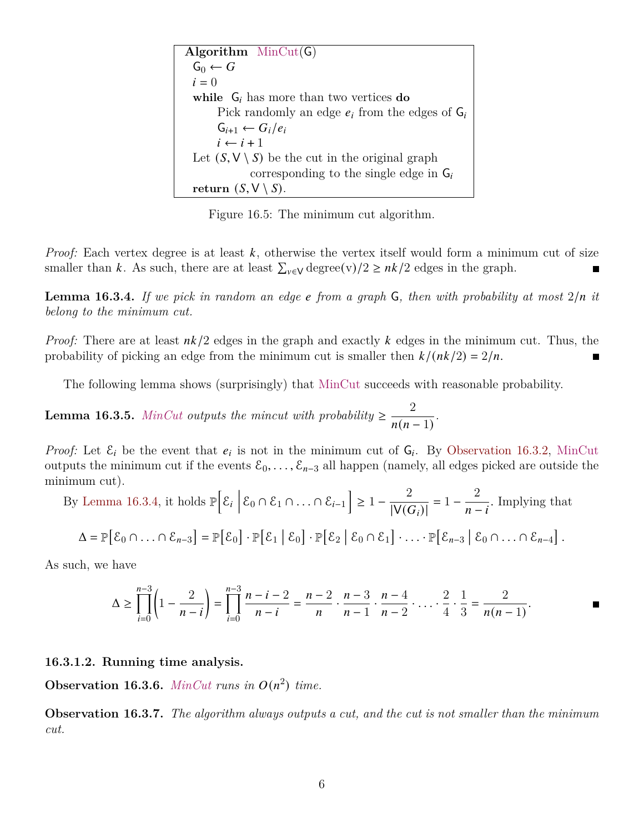<span id="page-5-0"></span>**Algorithm** MinCut(G)  $G_0 \leftarrow G$  $i = 0$ **while**  $G_i$  has more than two vertices **do** Pick randomly an edge  $e_i$  from the edges of  $G_i$  $G_{i+1} \leftarrow G_i/e_i$  $i \leftarrow i + 1$ Let  $(S, V \setminus S)$  be the cut in the original graph corresponding to the single edge in  $G_i$ **return**  $(S, V \setminus S)$ .

Figure 16.5: The minimum cut algorithm.

*Proof:* Each vertex degree is at least  $k$ , otherwise the vertex itself would form a minimum cut of size smaller than k. As such, there are at least  $\sum_{v \in V} \text{degree}(v)/2 \geq nk/2$  edges in the graph.

<span id="page-5-1"></span>**Lemma 16.3.4.** If we pick in random an edge  $e$  from a graph  $\mathsf{G}$ , then with probability at most  $2/n$  it *belong to the minimum cut.*

*Proof:* There are at least  $nk/2$  edges in the graph and exactly k edges in the minimum cut. Thus, the probability of picking an edge from the minimum cut is smaller then  $k/(nk/2) = 2/n$ .

The following lemma shows (surprisingly) that MinCut succeeds with reasonable probability.

<span id="page-5-2"></span>**Lemma 16.3.5.** *MinCut outputs the mincut with probability*  $\geq \frac{2}{\sqrt{2}}$  $\frac{2}{n(n-1)}$ 

*Proof:* Let  $\mathcal{E}_i$  be the event that  $e_i$  is not in the minimum cut of  $\mathsf{G}_i$ . By [Observation 16.3.2,](#page-3-2) MinCut outputs the minimum cut if the events  $\mathcal{E}_0, \ldots, \mathcal{E}_{n-3}$  all happen (namely, all edges picked are outside the minimum cut).

By Lemma 16.3.4, it holds 
$$
\mathbb{P}\Big[\mathcal{E}_i \Big| \mathcal{E}_0 \cap \mathcal{E}_1 \cap \ldots \cap \mathcal{E}_{i-1}\Big] \ge 1 - \frac{2}{|V(G_i)|} = 1 - \frac{2}{n-i}
$$
. Implying that  
\n
$$
\Delta = \mathbb{P}\Big[\mathcal{E}_0 \cap \ldots \cap \mathcal{E}_{n-3}\Big] = \mathbb{P}\Big[\mathcal{E}_0 \Big] \cdot \mathbb{P}\Big[\mathcal{E}_1 \Big| \mathcal{E}_0\Big] \cdot \mathbb{P}\Big[\mathcal{E}_2 \Big| \mathcal{E}_0 \cap \mathcal{E}_1\Big] \cdot \ldots \cdot \mathbb{P}\Big[\mathcal{E}_{n-3} \Big| \mathcal{E}_0 \cap \ldots \cap \mathcal{E}_{n-4}\Big].
$$

As such, we have

$$
\Delta \ge \prod_{i=0}^{n-3} \left(1 - \frac{2}{n-i}\right) = \prod_{i=0}^{n-3} \frac{n-i-2}{n-i} = \frac{n-2}{n} \cdot \frac{n-3}{n-1} \cdot \frac{n-4}{n-2} \cdot \ldots \cdot \frac{2}{4} \cdot \frac{1}{3} = \frac{2}{n(n-1)}.
$$

#### **16.3.1.2. Running time analysis.**

**Observation 16.3.6.** *MinCut runs in*  $O(n^2)$  *time.* 

**Observation 16.3.7.** *The algorithm always outputs a cut, and the cut is not smaller than the minimum cut.*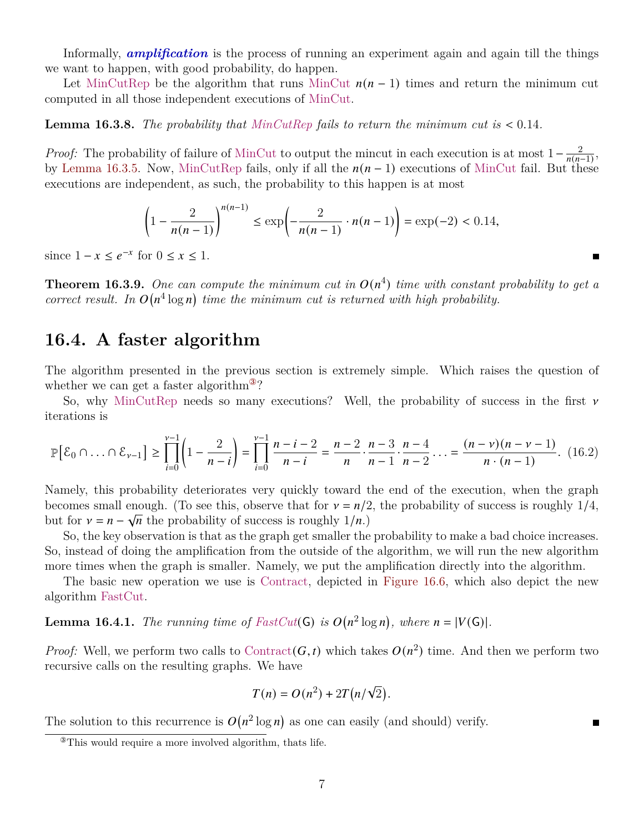Informally, *amplification* is the process of running an experiment again and again till the things we want to happen, with good probability, do happen.

Let MinCutRep be the algorithm that runs MinCut  $n(n-1)$  times and return the minimum cut computed in all those independent executions of MinCut.

<span id="page-6-3"></span>**Lemma 16.3.8.** *The probability that MinCutRep fails to return the minimum cut is* < 0.14*.*

*Proof:* The probability of failure of MinCut to output the mincut in each execution is at most  $1-\frac{2}{n(n-1)}$ , by [Lemma 16.3.5.](#page-5-2) Now, MinCutRep fails, only if all the  $n(n-1)$  executions of MinCut fail. But these executions are independent, as such, the probability to this happen is at most

$$
\left(1-\frac{2}{n(n-1)}\right)^{n(n-1)} \le \exp\left(-\frac{2}{n(n-1)}\cdot n(n-1)\right) = \exp(-2) < 0.14,
$$

П

 $\blacksquare$ 

since  $1 - x \le e^{-x}$  for  $0 \le x \le 1$ .

**Theorem 16.3.9.** One can compute the minimum cut in  $O(n^4)$  time with constant probability to get a *correct result.* In  $O(n^4 \log n)$  time the minimum cut is returned with high probability.

## **16.4. A faster algorithm**

The algorithm presented in the previous section is extremely simple. Which raises the question of whether we can get a faster algorithm<sup>39</sup>?

<span id="page-6-1"></span>So, why MinCutRep needs so many executions? Well, the probability of success in the first  $\nu$ iterations is

$$
\mathbb{P}\left[\mathcal{E}_0 \cap \ldots \cap \mathcal{E}_{\nu-1}\right] \ge \prod_{i=0}^{\nu-1} \left(1 - \frac{2}{n-i}\right) = \prod_{i=0}^{\nu-1} \frac{n-i-2}{n-i} = \frac{n-2}{n} \cdot \frac{n-3}{n-1} \cdot \frac{n-4}{n-2} \ldots = \frac{(n-\nu)(n-\nu-1)}{n \cdot (n-1)}.\tag{16.2}
$$

Namely, this probability deteriorates very quickly toward the end of the execution, when the graph becomes small enough. (To see this, observe that for  $v = n/2$ , the probability of success is roughly 1/4, but for  $v = n - \sqrt{n}$  the probability of success is roughly  $1/n$ .)

So, the key observation is that as the graph get smaller the probability to make a bad choice increases. So, instead of doing the amplification from the outside of the algorithm, we will run the new algorithm more times when the graph is smaller. Namely, we put the amplification directly into the algorithm.

The basic new operation we use is Contract, depicted in [Figure 16.6,](#page-7-0) which also depict the new algorithm FastCut.

<span id="page-6-2"></span>**Lemma 16.4.1.** The running time of  $FastCut(G)$  is  $O(n^2 \log n)$ , where  $n = |V(G)|$ .

*Proof:* Well, we perform two calls to Contract $(G, t)$  which takes  $O(n^2)$  time. And then we perform two recursive calls on the resulting graphs. We have

$$
T(n) = O(n^2) + 2T(n/\sqrt{2}).
$$

The solution to this recurrence is  $O(n^2 \log n)$  as one can easily (and should) verify.

<span id="page-6-0"></span><sup>③</sup>This would require a more involved algorithm, thats life.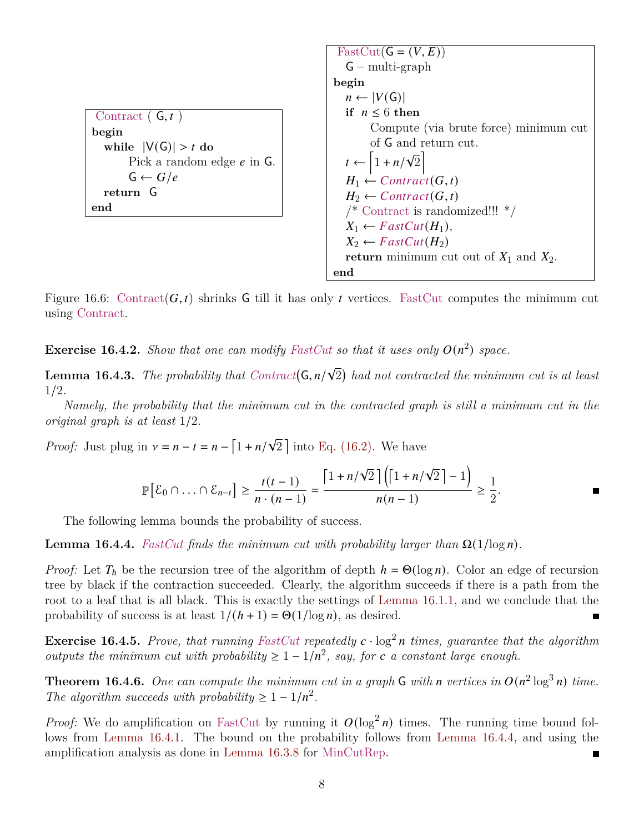<span id="page-7-0"></span>Contract  $(\mathsf{G}, t)$ **begin** while  $|V(G)| > t$  do Pick a random edge  $e$  in  $\mathsf{G}$ .  $G \leftarrow G/e$ **return** G **end**

FastCut(G = (V, E))  
\nG – multi-graph  
\nbegin  
\n
$$
n \leftarrow |V(G)|
$$
  
\nif  $n \le 6$  then  
\nCompute (via brute force) minimum cut  
\nof G and return cut.  
\n $t \leftarrow \begin{bmatrix} 1 + n/\sqrt{2} \\ H_1 \leftarrow Contract(G, t) \\ H_2 \leftarrow Contract(G, t) \\ \end{bmatrix} \\ Y^* \text{Contract is randomized} \quad \frac{M}{2} \\ X_1 \leftarrow FastCut(H_1), \\ X_2 \leftarrow FastCut(H_2) \\ \text{return minimum cut out of } X_1 \text{ and } X_2.$ 

Figure 16.6: Contract( $G, t$ ) shrinks G till it has only t vertices. FastCut computes the minimum cut using Contract.

**Exercise 16.4.2.** *Show that one can modify FastCut so that it uses only*  $O(n^2)$  *space.* 

**Lemma 16.4.3.** *The probability that*  $Contract(G, n/\sqrt{})$ 2 *had not contracted the minimum cut is at least* 1/2*.*

*Namely, the probability that the minimum cut in the contracted graph is still a minimum cut in the original graph is at least* 1/2*.*

*Proof:* Just plug in  $v = n - t = n - \left[1 + \frac{n}{\sqrt{2}}\right]$  $\overline{2}$  into [Eq. \(16.2\).](#page-6-1) We have

$$
\mathbb{P}\big[\mathcal{E}_0 \cap \ldots \cap \mathcal{E}_{n-t}\big] \ge \frac{t(t-1)}{n \cdot (n-1)} = \frac{\big[1 + n/\sqrt{2}\big]\big(\big[1 + n/\sqrt{2}\big] - 1\big)}{n(n-1)} \ge \frac{1}{2}.
$$

The following lemma bounds the probability of success.

<span id="page-7-1"></span>**Lemma 16.4.4.** *FastCut* finds the minimum cut with probability larger than  $\Omega(1/\log n)$ .

*Proof:* Let  $T_h$  be the recursion tree of the algorithm of depth  $h = \Theta(\log n)$ . Color an edge of recursion tree by black if the contraction succeeded. Clearly, the algorithm succeeds if there is a path from the root to a leaf that is all black. This is exactly the settings of [Lemma 16.1.1,](#page-1-0) and we conclude that the probability of success is at least  $1/(h+1) = \Theta(1/\log n)$ , as desired.  $\blacksquare$ 

**Exercise 16.4.5.** *Prove, that running FastCut repeatedly*  $c \cdot \log^2 n$  times, guarantee that the algorithm *outputs the minimum cut with probability*  $\geq 1 - 1/n^2$ , say, for c a constant large enough.

**Theorem 16.4.6.** One can compute the minimum cut in a graph  $\mathsf{G}$  with n vertices in  $O(n^2 \log^3 n)$  time. *The algorithm succeeds with probability*  $\geq 1 - 1/n^2$ .

*Proof:* We do amplification on FastCut by running it  $O(\log^2 n)$  times. The running time bound follows from [Lemma 16.4.1.](#page-6-2) The bound on the probability follows from [Lemma 16.4.4,](#page-7-1) and using the amplification analysis as done in [Lemma 16.3.8](#page-6-3) for MinCutRep. П